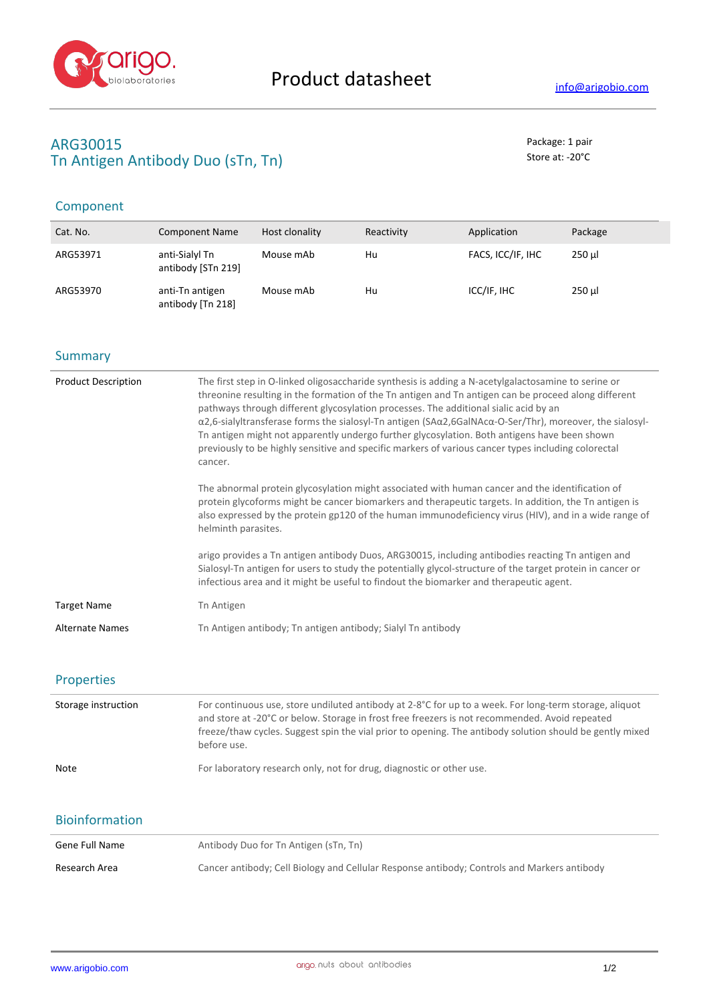

# **ARG30015** Package: 1 pair Tn Antigen Antibody Duo (sTn, Tn) Store at: -20<sup>°</sup>C

# Component

| Cat. No. | <b>Component Name</b>                | Host clonality | Reactivity | Application       | Package |
|----------|--------------------------------------|----------------|------------|-------------------|---------|
| ARG53971 | anti-Sialyl Tn<br>antibody [STn 219] | Mouse mAb      | Hu         | FACS, ICC/IF, IHC | $250$ µ |
| ARG53970 | anti-Tn antigen<br>antibody [Tn 218] | Mouse mAb      | Hu         | ICC/IF, IHC       | $250$ µ |

### **Summary**

| <b>Product Description</b> | The first step in O-linked oligosaccharide synthesis is adding a N-acetylgalactosamine to serine or<br>threonine resulting in the formation of the Tn antigen and Tn antigen can be proceed along different<br>pathways through different glycosylation processes. The additional sialic acid by an<br>$\alpha$ 2,6-sialyltransferase forms the sialosyl-Tn antigen (SA $\alpha$ 2,6GalNAc $\alpha$ -O-Ser/Thr), moreover, the sialosyl-<br>Th antigen might not apparently undergo further glycosylation. Both antigens have been shown<br>previously to be highly sensitive and specific markers of various cancer types including colorectal<br>cancer. |  |
|----------------------------|------------------------------------------------------------------------------------------------------------------------------------------------------------------------------------------------------------------------------------------------------------------------------------------------------------------------------------------------------------------------------------------------------------------------------------------------------------------------------------------------------------------------------------------------------------------------------------------------------------------------------------------------------------|--|
|                            | The abnormal protein glycosylation might associated with human cancer and the identification of<br>protein glycoforms might be cancer biomarkers and therapeutic targets. In addition, the Tn antigen is<br>also expressed by the protein gp120 of the human immunodeficiency virus (HIV), and in a wide range of<br>helminth parasites.                                                                                                                                                                                                                                                                                                                   |  |
|                            | arigo provides a Tn antigen antibody Duos, ARG30015, including antibodies reacting Tn antigen and<br>Sialosyl-Tn antigen for users to study the potentially glycol-structure of the target protein in cancer or<br>infectious area and it might be useful to findout the biomarker and therapeutic agent.                                                                                                                                                                                                                                                                                                                                                  |  |
| <b>Target Name</b>         | Tn Antigen                                                                                                                                                                                                                                                                                                                                                                                                                                                                                                                                                                                                                                                 |  |
| <b>Alternate Names</b>     | Th Antigen antibody; Th antigen antibody; Sialyl Th antibody                                                                                                                                                                                                                                                                                                                                                                                                                                                                                                                                                                                               |  |

### Properties

| Storage instruction | For continuous use, store undiluted antibody at $2-8^{\circ}C$ for up to a week. For long-term storage, aliquot<br>and store at -20°C or below. Storage in frost free freezers is not recommended. Avoid repeated<br>freeze/thaw cycles. Suggest spin the vial prior to opening. The antibody solution should be gently mixed<br>before use. |
|---------------------|----------------------------------------------------------------------------------------------------------------------------------------------------------------------------------------------------------------------------------------------------------------------------------------------------------------------------------------------|
| Note                | For laboratory research only, not for drug, diagnostic or other use.                                                                                                                                                                                                                                                                         |

## Bioinformation

| Gene Full Name | Antibody Duo for Tn Antigen (sTn, Tn)                                                       |
|----------------|---------------------------------------------------------------------------------------------|
| Research Area  | Cancer antibody; Cell Biology and Cellular Response antibody; Controls and Markers antibody |